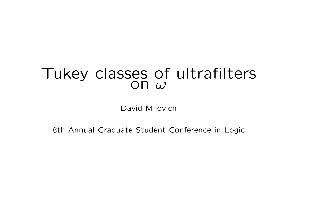# Tukey classes of ultrafilters  $\overline{on}$   $\overline{\omega}$

David Milovich

8th Annual Graduate Student Conference in Logic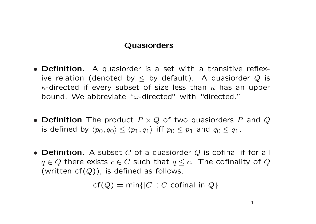## **Quasiorders**

- Definition. A quasiorder is a set with a transitive reflexive relation (denoted by  $\leq$  by default). A quasiorder Q is  $\kappa$ -directed if every subset of size less than  $\kappa$  has an upper bound. We abbreviate " $\omega$ -directed" with "directed."
- Definition The product  $P \times Q$  of two quasiorders P and Q is defined by  $\langle p_0, q_0 \rangle \leq \langle p_1, q_1 \rangle$  iff  $p_0 \leq p_1$  and  $q_0 \leq q_1$ .
- Definition. A subset C of a quasiorder Q is cofinal if for all  $q \in Q$  there exists  $c \in C$  such that  $q \leq c$ . The cofinality of Q (written  $cf(Q)$ ), is defined as follows.

 $cf(Q) = min\{|C| : C$  cofinal in  $Q\}$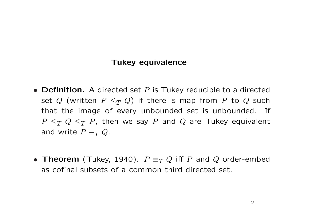#### Tukey equivalence

- Definition. A directed set  $P$  is Tukey reducible to a directed set Q (written  $P \leq_T Q$ ) if there is map from P to Q such that the image of every unbounded set is unbounded. If  $P \leq_T Q \leq_T P$ , then we say P and Q are Tukey equivalent and write  $P \equiv_T Q$ .
- Theorem (Tukey, 1940).  $P \equiv_T Q$  iff P and Q order-embed as cofinal subsets of a common third directed set.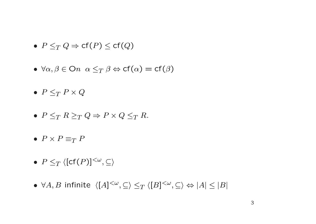- $P \leq_T Q \Rightarrow cf(P) \leq cf(Q)$
- $\forall \alpha, \beta \in \mathcal{O}n \ \alpha \leq_T \beta \Leftrightarrow \mathsf{cf}(\alpha) = \mathsf{cf}(\beta)$
- $P \leq_T P \times Q$
- $P \leq_T R \geq_T Q \Rightarrow P \times Q \leq_T R$ .
- $P \times P \equiv_T P$
- $P \leq_T \langle [cf(P)]^{\langle \omega, \subseteq \rangle}$
- $\forall A, B$  infinite  $\langle [A]^{<\omega}, \subseteq \rangle \leq_T \langle [B]^{<\omega}, \subseteq \rangle \Leftrightarrow |A| \leq |B|$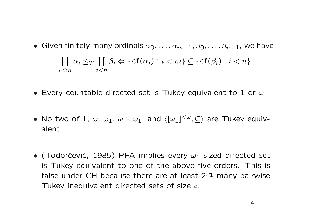- Given finitely many ordinals  $\alpha_0, \ldots, \alpha_{m-1}, \beta_0, \ldots, \beta_{n-1}$ , we have  $\overline{y}$  $i < m$  $\alpha_i \leq_T$  $\overline{y}$  $i\lt n$  $\beta_i \Leftrightarrow \{\mathsf{cf}(\alpha_i) : i < m\} \subseteq \{\mathsf{cf}(\beta_i) : i < n\}.$
- Every countable directed set is Tukey equivalent to 1 or  $\omega$ .
- No two of 1,  $\omega$ ,  $\omega_1$ ,  $\omega \times \omega_1$ , and  $\langle [\omega_1]^{<\omega}, \subseteq \rangle$  are Tukey equivalent.
- (Todorčevic, 1985) PFA implies every  $\omega_1$ -sized directed set is Tukey equivalent to one of the above five orders. This is false under CH because there are at least  $2^{\omega_1}$ -many pairwise Tukey inequivalent directed sets of size c.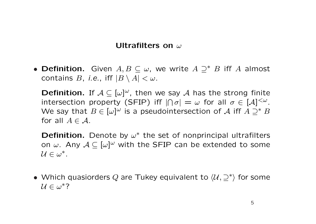### Ultrafilters on  $\omega$

• Definition. Given  $A, B \subseteq \omega$ , we write  $A \supseteq^* B$  iff A almost contains B, i.e., iff  $|B \setminus A| < \omega$ .

**Definition.** If  $A \subseteq [\omega]^{\omega}$ , then we say A has the strong finite intersection property (SFIP) iff |  $\overline{\phantom{0}}$  $\sigma | = \omega$  for all  $\sigma \in [A]^{<\omega}$ . We say that  $B \in [\omega]^{\omega}$  is a pseudointersection of A iff  $A \supseteq^* B$ for all  $A \in \mathcal{A}$ .

**Definition.** Denote by  $\omega^*$  the set of nonprincipal ultrafilters on  $\omega$ . Any  $\mathcal{A} \subseteq [\omega]^{\omega}$  with the SFIP can be extended to some  $\mathcal{U} \in \omega^*.$ 

• Which quasiorders Q are Tukey equivalent to  $\langle U, \supseteq^* \rangle$  for some  $\mathcal{U} \in \omega^*$ ?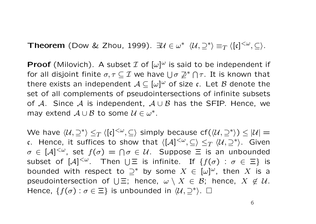Theorem (Dow & Zhou, 1999).  $\exists \mathcal{U} \in \omega^* \ \langle \mathcal{U}, \supseteq^* \rangle \equiv_T \langle [\mathfrak{c}]^{<\omega}, \subseteq \rangle$ .

**Proof** (Milovich). A subset  $\mathcal{I}$  of  $[\omega]^{\omega}$  is said to be independent if for all disjoint finite  $\sigma, \tau \subseteq \mathcal{I}$  we have  $\bigcup \sigma \not\supseteq^* \bigcap \tau$ . It is known that there exists an independent  $\mathcal{A}\subseteq[\omega]^\omega$  of size c. Let  $\mathcal B$  denote the set of all complements of pseudointersections of infinite subsets of A. Since A is independent,  $A \cup B$  has the SFIP. Hence, we may extend  $A \cup B$  to some  $U \in \omega^*$ .

We have  $\langle \mathcal{U},\supseteq^*\rangle\leq_T\langle [\mathfrak{c}]^{<\omega},\subseteq\rangle$  simply because  $\mathsf{cf}(\langle \mathcal{U},\supseteq^*\rangle)\leq |\mathcal{U}|=1$ c. Hence, it suffices to show that  $\langle [\mathcal{A}]^{<\omega}, \subseteq \rangle \leq_T \langle \mathcal{U}, \supseteq^* \rangle$ . Given  $\sigma \in [\mathcal{A}]^{<\omega}$ , set  $f(\sigma) = \bigcap \sigma \in \mathcal{U}$ . Suppose  $\Xi$  is an unbounded subset of  $[A]^{<\omega}$ . Then  $\cup \Xi$  is infinite. If  $\{f(\sigma) : \sigma \in \Xi\}$  is bounded with respect to  $\supseteq^*$  by some  $X \in [\omega]^{\omega}$ , then X is a pseudointersection of  $\bigcup \Xi$ ; hence,  $\omega \setminus X \in \mathcal{B}$ ; hence,  $X \notin \mathcal{U}$ . Hence,  $\{f(\sigma): \sigma \in \Xi\}$  is unbounded in  $\langle \mathcal{U}, \supseteq^* \rangle$ .  $\square$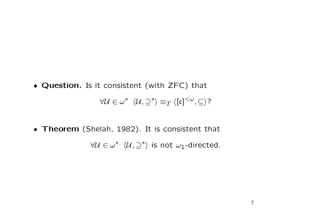• Question. Is it consistent (with ZFC) that

$$
\forall \mathcal{U} \in \omega^* \ \langle \mathcal{U}, \supseteq^* \rangle \equiv_T \langle [\mathfrak{c}]^{<\omega}, \subseteq \rangle?
$$

• Theorem (Shelah, 1982). It is consistent that

 $\forall \mathcal{U} \in \omega^* \: \langle \mathcal{U}, \supseteq^* \rangle$  is not  $\omega_1$ -directed.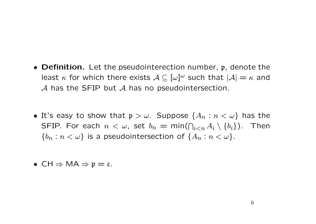- Definition. Let the pseudointerection number, p, denote the least  $\kappa$  for which there exists  $\mathcal{A} \subseteq [\omega]^\omega$  such that  $|\mathcal{A}| = \kappa$  and  $A$  has the SFIP but  $A$  has no pseudointersection.
- It's easy to show that  $p > \omega$ . Suppose  $\{A_n : n < \omega\}$  has the SFIP. For each  $n < \omega$ , set  $b_n = \min(\bigcap_{i < n} A_i \setminus \{b_i\})$ . Then  $\{b_n : n < \omega\}$  is a pseudointersection of  $\{A_n : n < \omega\}$ .
- CH  $\Rightarrow$  MA  $\Rightarrow$  p = c.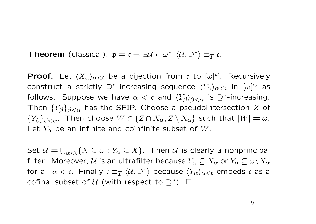**Theorem** (classical).  $p = c \Rightarrow \exists U \in \omega^* \ \langle U, \supseteq^* \rangle \equiv_T c$ .

**Proof.** Let  $\langle X_{\alpha}\rangle_{\alpha<\mathfrak{c}}$  be a bijection from c to  $[\omega]^{\omega}$ . Recursively construct a strictly  $\supseteq^*$ -increasing sequence  $\langle Y_\alpha\rangle_{\alpha<\mathfrak{c}}$  in  $[\omega]^\omega$  as follows. Suppose we have  $\alpha < c$  and  $\langle Y_\beta \rangle_{\beta < \alpha}$  is  $\supseteq^*$ -increasing. Then  ${Y_\beta}_{\beta<\alpha}$  has the SFIP. Choose a pseudointersection Z of  ${Y_\beta}_{\beta<\alpha}$ . Then choose  $W\in{Z\cap X_\alpha,Z\setminus X_\alpha}$  such that  $|W|=\omega$ . Let  $Y_\alpha$  be an infinite and coinfinite subset of W.

Set  $\mathcal{U} =$ S  $_{\alpha <{\mathfrak c}}\{X \subseteq \omega: Y_\alpha \subseteq X\}.$  Then  ${\mathcal U}$  is clearly a nonprincipal filter. Moreover,  $U$  is an ultrafilter because  $Y_\alpha \subseteq X_\alpha$  or  $Y_\alpha \subseteq \omega \backslash X_\alpha$ for all  $\alpha <$  c. Finally  $\mathfrak{c} \equiv_T \langle \mathcal{U}, \supseteq^* \rangle$  because  $\langle Y_\alpha \rangle_{\alpha <$ c embeds c as a cofinal subset of  $U$  (with respect to  $\supseteq^*$ ).  $\square$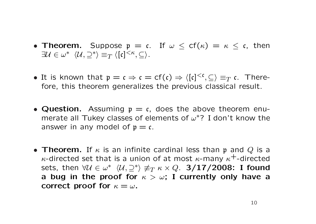- Theorem. Suppose  $p = c$ . If  $\omega \leq cf(\kappa) = \kappa \leq c$ , then  $\exists \mathcal{U} \in \omega^* \: \: \langle \mathcal{U}, \supseteq^* \rangle \equiv_T \langle [\mathfrak{c}]^{<\kappa}, \subseteq \rangle.$
- It is known that  $\mathfrak{p} = \mathfrak{c} \Rightarrow \mathfrak{c} = \text{cf}(\mathfrak{c}) \Rightarrow \langle [\mathfrak{c}]^{<\mathfrak{c}}, \subseteq \rangle \equiv_T \mathfrak{c}$ . Therefore, this theorem generalizes the previous classical result.
- Question. Assuming  $p = c$ , does the above theorem enumerate all Tukey classes of elements of  $\omega^*$ ? I don't know the answer in any model of  $p = c$ .
- Theorem. If  $\kappa$  is an infinite cardinal less than p and Q is a  $\kappa$ -directed set that is a union of at most  $\kappa$ -many  $\kappa^+$ -directed sets, then  $\forall \mathcal{U} \in \omega^* \: \langle \mathcal{U}, \supseteq^* \rangle \not\equiv_T \kappa \times Q$ . <mark>3/17/2008: I found</mark> a bug in the proof for  $\kappa > \omega$ ; I currently only have a correct proof for  $\kappa = \omega$ .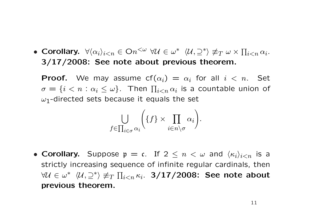• Corollary.  $\forall \langle \alpha_i \rangle_{i  $\forall \mathcal{U} \in \omega^* \langle \mathcal{U}, \supseteq^* \rangle \not\equiv_T \omega \times \mathcal{U}$$  $\overline{a}$  $i$   $\langle n \alpha_i \cdot$ 3/17/2008: See note about previous theorem.

**Proof.** We may assume  $cf(\alpha_i) = \alpha_i$  for all  $i < n$ . Set  $\sigma = \{i < n : \alpha_i \leq \omega\}$ . Then  $\prod_{i < n} \alpha_i$  is a countable union of  $\omega_1$ -directed sets because it equals the set

$$
\bigcup_{f \in \prod_{i \in \sigma} \alpha_i} \left( \{f\} \times \prod_{i \in n \setminus \sigma} \alpha_i \right).
$$

• Corollary. Suppose  $p = c$ . If  $2 \le n < \omega$  and  $\langle \kappa_i \rangle_{i \le n}$  is a strictly increasing sequence of infinite regular cardinals, then  $\forall \mathcal{U} \in \omega^* \: \: \langle \mathcal{U}, \supseteq^* \rangle \not\equiv_T$  $\frac{1}{1+1}$  $_{i< n}\kappa_{i}$ . 3/17/2008: See note about previous theorem.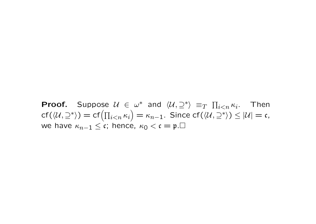**Proof.** Suppose  $\mathcal{U} \in \omega^*$  and  $\langle \mathcal{U}, \supseteq^* \rangle \equiv_T$  $\overline{a}$  $\setminus \omega^*$  and  $\langle \mathcal{U}, \supseteq^* \rangle \ \equiv_T \ \prod_{i < n} \kappa_i.$  Then cf( $\langle U, \supseteq^* \rangle$ ) = cf $\left(\prod_{i \leq n} \kappa_i\right) = \kappa_{n-1}$ . Since cf( $\langle U, \supseteq^* \rangle$ )  $\leq |\mathcal{U}| = c$ , we have  $\kappa_{n-1} \leq \mathfrak{c}$ ; hence,  $\kappa_0 < \mathfrak{c} = \mathfrak{p}$ . $\Box$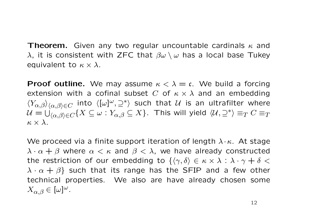**Theorem.** Given any two regular uncountable cardinals  $\kappa$  and λ, it is consistent with ZFC that  $βω \setminus ω$  has a local base Tukey equivalent to  $\kappa \times \lambda$ .

**Proof outline.** We may assume  $\kappa < \lambda = c$ . We build a forcing extension with a cofinal subset C of  $\kappa \times \lambda$  and an embedding  $\langle Y_{\alpha,\beta} \rangle_{\langle \alpha,\beta \rangle \in C}$  into  $\langle [\omega]^\omega, \supseteq^* \rangle$  such that  $\mathcal U$  is an ultrafilter where  $\mathcal{U}=\overline{\bigcup_{\langle\alpha,\beta\rangle\in C}^{\alpha,\varphi_\gamma\subset\varphi}}\{X\subseteq\omega:Y_{\alpha,\beta}\subseteq X\}.$  This will yield  $\langle\mathcal{U},\supseteq^*\rangle\equiv_T C\equiv_T$  $\left\langle \right\rangle$  $\kappa \times \lambda$ .

We proceed via a finite support iteration of length  $\lambda \cdot \kappa$ . At stage  $\lambda \cdot \alpha + \beta$  where  $\alpha < \kappa$  and  $\beta < \lambda$ , we have already constructed the restriction of our embedding to  $\{\langle \gamma, \delta \rangle \in \kappa \times \lambda : \lambda \cdot \gamma + \delta \leq \delta \}$  $\lambda \cdot \alpha + \beta$ } such that its range has the SFIP and a few other technical properties. We also are have already chosen some  $X_{\alpha,\beta} \in [\omega]^{\omega}.$ 

12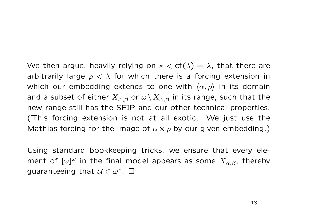We then argue, heavily relying on  $\kappa < cf(\lambda) = \lambda$ , that there are arbitrarily large  $\rho < \lambda$  for which there is a forcing extension in which our embedding extends to one with  $\langle \alpha, \rho \rangle$  in its domain and a subset of either  $X_{\alpha,\beta}$  or  $\omega \setminus X_{\alpha,\beta}$  in its range, such that the new range still has the SFIP and our other technical properties. (This forcing extension is not at all exotic. We just use the Mathias forcing for the image of  $\alpha \times \rho$  by our given embedding.)

Using standard bookkeeping tricks, we ensure that every element of  $[\omega]^\omega$  in the final model appears as some  $X_{\alpha,\beta}$ , thereby guaranteeing that  $\mathcal{U} \in \omega^*$ .  $\square$